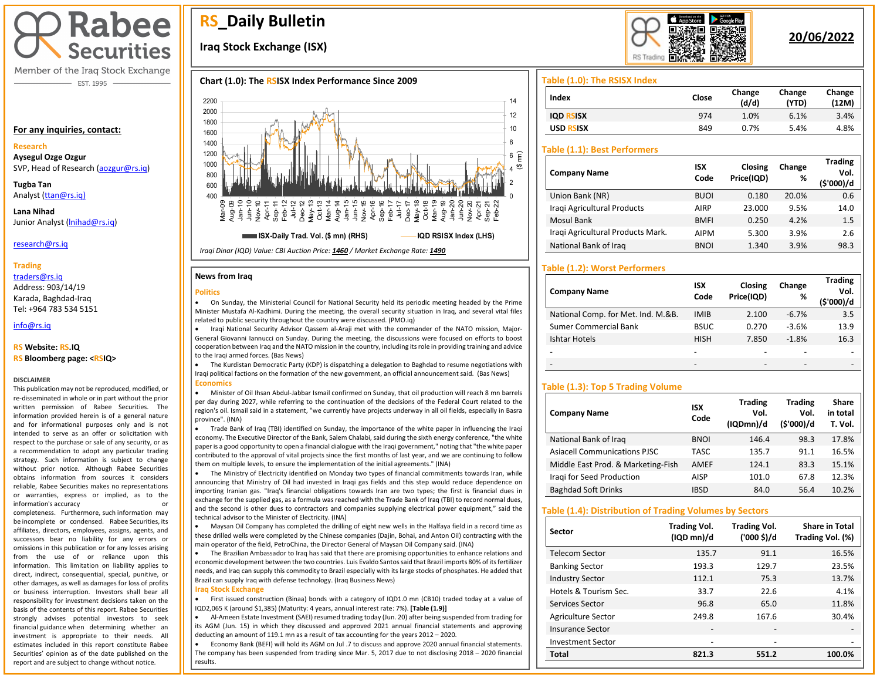# **Rabee Securities**

Member of the Iraq Stock Exchange - EST. 1995

#### **For any inquiries, contact:**

#### **Research**

**Aysegul Ozge Ozgur**  SVP, Head of Research [\(aozgur@rs.iq\)](mailto:aozgur@rs.iq)

**Tugba Tan** Analyst [\(ttan@rs.iq\)](mailto:ttan@rs.iq)

**Lana Nihad** Junior Analyst [\(lnihad@rs.iq\)](mailto:lnihad@rs.iq)

#### research@rs.iq

#### **Trading**

traders@rs.iq Address: 903/14/19 Karada, Baghdad-Iraq Tel: +964 783 534 5151

## info@rs.iq

#### **RS Website: RS.IQ**

**RS Bloomberg page: <RSIQ>**

#### **DISCLAIMER**

This publication may not be reproduced, modified, or re-disseminated in whole or in part without the prior written permission of Rabee Securities. The information provided herein is of a general nature and for informational purposes only and is not intended to serve as an offer or solicitation with respect to the purchase or sale of any security, or as a recommendation to adopt any particular trading strategy. Such information is subject to change without prior notice. Although Rabee Securities obtains information from sources it considers reliable, Rabee Securities makes no representations or warranties, express or implied, as to the information's accuracy

completeness. Furthermore, such information may be incomplete or condensed. Rabee Securities, its affiliates, directors, employees, assigns, agents, and successors bear no liability for any errors or omissions in this publication or for any losses arising from the use of or reliance upon this information. This limitation on liability applies to direct, indirect, consequential, special, punitive, or other damages, as well as damages for loss of profits or business interruption. Investors shall bear all responsibility for investment decisions taken on the basis of the contents of this report. Rabee Securities strongly advises potential investors to seek financial guidance when determining whether an investment is appropriate to their needs. All estimates included in this report constitute Rabee Securities' opinion as of the date published on the report and are subject to change without notice.

## **RS\_Daily Bulletin**

## **Iraq Stock Exchange (ISX)**

#### **Chart (1.0): The RSISX Index Performance Since 2009**



*Iraqi Dinar (IQD) Value: CBI Auction Price: 1460 / Market Exchange Rate: 1490*

#### **News from Iraq**

#### **Politics**



• On Sunday, the Ministerial Council for National Security held its periodic meeting headed by the Prime Minister Mustafa Al-Kadhimi. During the meeting, the overall security situation in Iraq, and several vital files related to public security throughout the country were discussed. (PMO.iq)

• Iraqi National Security Advisor Qassem al-Araji met with the commander of the NATO mission, Major-General Giovanni Iannucci on Sunday. During the meeting, the discussions were focused on efforts to boost cooperation between Iraq and the NATO mission in the country, including its role in providing training and advice to the Iraqi armed forces. (Bas News)

• The Kurdistan Democratic Party (KDP) is dispatching a delegation to Baghdad to resume negotiations with Iraqi political factions on the formation of the new government, an official announcement said. (Bas News) **Economics**

• Minister of Oil Ihsan Abdul-Jabbar Ismail confirmed on Sunday, that oil production will reach 8 mn barrels per day during 2027, while referring to the continuation of the decisions of the Federal Court related to the region's oil. Ismail said in a statement, "we currently have projects underway in all oil fields, especially in Basra province". (INA)

• Trade Bank of Iraq (TBI) identified on Sunday, the importance of the white paper in influencing the Iraqi economy. The Executive Director of the Bank, Salem Chalabi, said during the sixth energy conference, "the white paper is a good opportunity to open a financial dialogue with the Iraqi government," noting that "the white paper contributed to the approval of vital projects since the first months of last year, and we are continuing to follow them on multiple levels, to ensure the implementation of the initial agreements." (INA)

• The Ministry of Electricity identified on Monday two types of financial commitments towards Iran, while announcing that Ministry of Oil had invested in Iraqi gas fields and this step would reduce dependence on importing Iranian gas. "Iraq's financial obligations towards Iran are two types; the first is financial dues in exchange for the supplied gas, as a formula was reached with the Trade Bank of Iraq (TBI) to record normal dues, and the second is other dues to contractors and companies supplying electrical power equipment," said the technical advisor to the Minister of Electricity. (INA)

• Maysan Oil Company has completed the drilling of eight new wells in the Halfaya field in a record time as these drilled wells were completed by the Chinese companies (Dajin, Bohai, and Anton Oil) contracting with the main operator of the field, PetroChina, the Director General of Maysan Oil Company said. (INA)

I • The Brazilian Ambassador to Iraq has said that there are promising opportunities to enhance relations and economic development between the two countries. Luis Evaldo Santos said that Brazil imports 80% of its fertilizer needs, and Iraq can supply this commodity to Brazil especially with its large stocks of phosphates. He added that Brazil can supply Iraq with defense technology. (Iraq Business News)

#### **Iraq Stock Exchange**

• First issued construction (Binaa) bonds with a category of IQD1.0 mn (CB10) traded today at a value of IQD2,065 K (around \$1,385) (Maturity: 4 years, annual interest rate: 7%). **[Table (1.9)]**

• Al-Ameen Estate Investment (SAEI) resumed trading today (Jun. 20) after being suspended from trading for its AGM (Jun. 15) in which they discussed and approved 2021 annual financial statements and approving deducting an amount of 119.1 mn as a result of tax accounting for the years 2012 – 2020.

• Economy Bank (BEFI) will hold its AGM on Jul .7 to discuss and approve 2020 annual financial statements. The company has been suspended from trading since Mar. 5, 2017 due to not disclosing 2018 – 2020 financial results.



## **20/06/2022**

#### **Table (1.0): The RSISX Index**

| Index               | Close | Change<br>(d/d) | Change<br>(YTD) | Change<br>(12M) |
|---------------------|-------|-----------------|-----------------|-----------------|
| IQD.<br><b>SISX</b> | 974   | 1.0%            | 6.1%            | 3.4%            |
| USD.<br>रऽ।ऽx       | 849   | 0.7%            | 5.4%            | 4.8%            |

#### **Table (1.1): Best Performers**

| <b>Company Name</b>               | <b>ISX</b><br>Code | Closing<br>Price(IQD) | Change<br>% | <b>Trading</b><br>Vol.<br>(\$'000)/d |
|-----------------------------------|--------------------|-----------------------|-------------|--------------------------------------|
| Union Bank (NR)                   | <b>BUOI</b>        | 0.180                 | 20.0%       | 0.6                                  |
| Iragi Agricultural Products       | <b>AIRP</b>        | 23,000                | 9.5%        | 14.0                                 |
| Mosul Bank                        | <b>BMFI</b>        | 0.250                 | 4.2%        | 1.5                                  |
| Iragi Agricultural Products Mark. | <b>AIPM</b>        | 5.300                 | 3.9%        | 2.6                                  |
| National Bank of Iraq             | <b>BNOI</b>        | 1.340                 | 3.9%        | 98.3                                 |

#### **Table (1.2): Worst Performers**

| <b>Company Name</b>                | <b>ISX</b><br>Code | Closing<br>Price(IQD) | Change<br>% | <b>Trading</b><br>Vol.<br>(\$'000)/d |
|------------------------------------|--------------------|-----------------------|-------------|--------------------------------------|
| National Comp. for Met. Ind. M.&B. | <b>IMIB</b>        | 2.100                 | $-6.7%$     | 3.5                                  |
| <b>Sumer Commercial Bank</b>       | <b>BSUC</b>        | 0.270                 | $-3.6%$     | 13.9                                 |
| Ishtar Hotels                      | <b>HISH</b>        | 7.850                 | $-1.8%$     | 16.3                                 |
|                                    |                    |                       |             |                                      |
|                                    |                    |                       |             |                                      |

#### **Table (1.3): Top 5 Trading Volume**

| <b>Company Name</b>                 | <b>ISX</b><br>Code | <b>Trading</b><br>Vol.<br>(IQDmn)/d | <b>Trading</b><br>Vol.<br>(\$'000)/d | Share<br>in total<br>T. Vol. |
|-------------------------------------|--------------------|-------------------------------------|--------------------------------------|------------------------------|
| National Bank of Iraq               | <b>BNOI</b>        | 146.4                               | 98.3                                 | 17.8%                        |
| <b>Asiacell Communications PJSC</b> | TASC               | 135.7                               | 91.1                                 | 16.5%                        |
| Middle East Prod. & Marketing-Fish  | AMEF               | 124.1                               | 83.3                                 | 15.1%                        |
| Iragi for Seed Production           | AISP               | 101.0                               | 67.8                                 | 12.3%                        |
| <b>Baghdad Soft Drinks</b>          | <b>IBSD</b>        | 84.0                                | 56.4                                 | 10.2%                        |

#### **Table (1.4): Distribution of Trading Volumes by Sectors**

| Sector                   | <b>Trading Vol.</b><br>(IQD mn)/d | <b>Trading Vol.</b><br>('000 \$)/d | <b>Share in Total</b><br>Trading Vol. (%) |
|--------------------------|-----------------------------------|------------------------------------|-------------------------------------------|
| Telecom Sector           | 135.7                             | 91.1                               | 16.5%                                     |
| <b>Banking Sector</b>    | 193.3                             | 129.7                              | 23.5%                                     |
| <b>Industry Sector</b>   | 112.1                             | 75.3                               | 13.7%                                     |
| Hotels & Tourism Sec.    | 33.7                              | 22.6                               | 4.1%                                      |
| Services Sector          | 96.8                              | 65.0                               | 11.8%                                     |
| Agriculture Sector       | 249.8                             | 167.6                              | 30.4%                                     |
| Insurance Sector         | -                                 |                                    |                                           |
| <b>Investment Sector</b> | -                                 |                                    |                                           |
| Total                    | 821.3                             | 551.2                              | 100.0%                                    |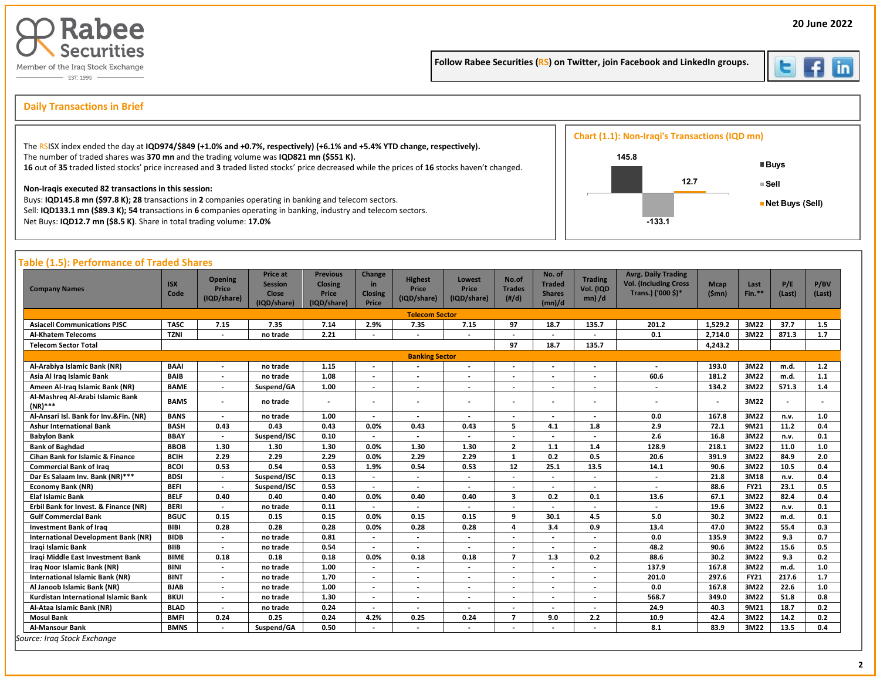



**20 June 2022**

İ

## s **Daily Transactions in Brief**

| The RSISX index ended the day at IQD974/\$849 (+1.0% and +0.7%, respectively) (+6.1% and +5.4% YTD change, respectively).                                                                                                                                                          | <b>Chart (1.1): Non-Iraqi's Transactions (IQD mn)</b> |      |                                          |
|------------------------------------------------------------------------------------------------------------------------------------------------------------------------------------------------------------------------------------------------------------------------------------|-------------------------------------------------------|------|------------------------------------------|
| The number of traded shares was 370 mn and the trading volume was IQD821 mn (\$551 K).<br>16 out of 35 traded listed stocks' price increased and 3 traded listed stocks' price decreased while the prices of 16 stocks haven't changed.                                            | 145.8                                                 |      | <b>■Buys</b>                             |
| Non-Iragis executed 82 transactions in this session:<br>Buys: IQD145.8 mn (\$97.8 K); 28 transactions in 2 companies operating in banking and telecom sectors.<br>Sell: IQD133.1 mn (\$89.3 K); 54 transactions in 6 companies operating in banking, industry and telecom sectors. |                                                       | 12.7 | $\blacksquare$ Sell<br>■ Net Buys (Sell) |
| Net Buys: IQD12.7 mn (\$8.5 K). Share in total trading volume: 17.0%                                                                                                                                                                                                               | $-133.1$                                              |      |                                          |

#### **Table (1.5): Performance of Traded Shares**

| <b>Company Names</b>                           | <b>ISX</b><br>Code | <b>Opening</b><br>Price<br>(IQD/share) | <b>Price at</b><br><b>Session</b><br>Close<br>(IQD/share) | <b>Previous</b><br><b>Closing</b><br>Price<br>(IQD/share) | Change<br>in<br><b>Closing</b><br>Price | <b>Highest</b><br>Price<br>(IQD/share) | Lowest<br><b>Price</b><br>(IQD/share) | No.of<br><b>Trades</b><br>(H/d) | No. of<br><b>Traded</b><br><b>Shares</b><br>(mn)/d | <b>Trading</b><br>Vol. (IQD<br>$mn)$ /d | <b>Avrg. Daily Trading</b><br><b>Vol. (Including Cross</b><br>Trans.) ('000 \$)* | <b>Mcap</b><br>(Smn)     | Last<br>Fin.** | P/E<br>(Last) | P/BV<br>(Last) |
|------------------------------------------------|--------------------|----------------------------------------|-----------------------------------------------------------|-----------------------------------------------------------|-----------------------------------------|----------------------------------------|---------------------------------------|---------------------------------|----------------------------------------------------|-----------------------------------------|----------------------------------------------------------------------------------|--------------------------|----------------|---------------|----------------|
|                                                |                    |                                        |                                                           |                                                           |                                         | <b>Telecom Sector</b>                  |                                       |                                 |                                                    |                                         |                                                                                  |                          |                |               |                |
| <b>Asiacell Communications PJSC</b>            | <b>TASC</b>        | 7.15                                   | 7.35                                                      | 7.14                                                      | 2.9%                                    | 7.35                                   | 7.15                                  | 97                              | 18.7                                               | 135.7                                   | 201.2                                                                            | 1.529.2                  | 3M22           | 37.7          | 1.5            |
| <b>Al-Khatem Telecoms</b>                      | <b>TZNI</b>        |                                        | no trade                                                  | 2.21                                                      |                                         |                                        |                                       |                                 | $\overline{\phantom{a}}$                           |                                         | 0.1                                                                              | 2,714.0                  | 3M22           | 871.3         | 1.7            |
| Telecom Sector Total                           |                    |                                        |                                                           |                                                           |                                         |                                        |                                       | 97                              | 18.7                                               | 135.7                                   |                                                                                  | 4,243.2                  |                |               |                |
|                                                |                    |                                        |                                                           |                                                           |                                         | <b>Banking Sector</b>                  |                                       |                                 |                                                    |                                         |                                                                                  |                          |                |               |                |
| Al-Arabiya Islamic Bank (NR)                   | <b>BAAI</b>        | $\overline{\phantom{a}}$               | no trade                                                  | 1.15                                                      |                                         | $\overline{\phantom{a}}$               | $\overline{\phantom{a}}$              | $\overline{a}$                  | $\overline{\phantom{a}}$                           | $\overline{\phantom{0}}$                |                                                                                  | 193.0                    | 3M22           | m.d.          | 1.2            |
| Asia Al Iraq Islamic Bank                      | <b>BAIB</b>        | $\overline{\phantom{a}}$               | no trade                                                  | 1.08                                                      | $\overline{\phantom{a}}$                |                                        | $\overline{\phantom{a}}$              |                                 | $\overline{\phantom{0}}$                           |                                         | 60.6                                                                             | 181.2                    | 3M22           | m.d.          | 1.1            |
| Ameen Al-Iraq Islamic Bank (NR)                | <b>BAME</b>        | $\overline{\phantom{a}}$               | Suspend/GA                                                | 1.00                                                      | $\overline{\phantom{a}}$                | $\overline{\phantom{a}}$               | $\overline{\phantom{a}}$              | $\overline{\phantom{a}}$        | $\overline{\phantom{a}}$                           | $\overline{\phantom{a}}$                |                                                                                  | 134.2                    | 3M22           | 571.3         | 1.4            |
| Al-Mashreg Al-Arabi Islamic Bank<br>$(NR)$ *** | <b>BAMS</b>        | $\overline{\phantom{a}}$               | no trade                                                  | $\overline{\phantom{a}}$                                  | $\overline{\phantom{a}}$                |                                        | $\overline{\phantom{a}}$              |                                 | $\overline{\phantom{a}}$                           | $\overline{\phantom{a}}$                |                                                                                  | $\overline{\phantom{a}}$ | 3M22           |               |                |
| Al-Ansari Isl. Bank for Inv.&Fin. (NR)         | <b>BANS</b>        |                                        | no trade                                                  | 1.00                                                      |                                         |                                        |                                       |                                 | $\overline{a}$                                     |                                         | 0.0                                                                              | 167.8                    | 3M22           | n.v.          | 1.0            |
| <b>Ashur International Bank</b>                | <b>BASH</b>        | 0.43                                   | 0.43                                                      | 0.43                                                      | 0.0%                                    | 0.43                                   | 0.43                                  | 5                               | 4.1                                                | 1.8                                     | 2.9                                                                              | 72.1                     | 9M21           | 11.2          | 0.4            |
| <b>Babylon Bank</b>                            | <b>BBAY</b>        | $\overline{\phantom{a}}$               | Suspend/ISC                                               | 0.10                                                      |                                         |                                        |                                       |                                 |                                                    |                                         | 2.6                                                                              | 16.8                     | 3M22           | n.v.          | 0.1            |
| <b>Bank of Baghdad</b>                         | <b>BBOB</b>        | 1.30                                   | 1.30                                                      | 1.30                                                      | 0.0%                                    | 1.30                                   | 1.30                                  | $\overline{2}$                  | 1.1                                                | 1.4                                     | 128.9                                                                            | 218.1                    | 3M22           | 11.0          | $1.0$          |
| <b>Cihan Bank for Islamic &amp; Finance</b>    | <b>BCIH</b>        | 2.29                                   | 2.29                                                      | 2.29                                                      | 0.0%                                    | 2.29                                   | 2.29                                  | 1                               | 0.2                                                | 0.5                                     | 20.6                                                                             | 391.9                    | 3M22           | 84.9          | 2.0            |
| <b>Commercial Bank of Iraq</b>                 | <b>BCOI</b>        | 0.53                                   | 0.54                                                      | 0.53                                                      | 1.9%                                    | 0.54                                   | 0.53                                  | 12                              | 25.1                                               | 13.5                                    | 14.1                                                                             | 90.6                     | 3M22           | 10.5          | 0.4            |
| Dar Es Salaam Inv. Bank (NR)***                | <b>BDSI</b>        | $\blacksquare$                         | Suspend/ISC                                               | 0.13                                                      |                                         |                                        |                                       |                                 |                                                    |                                         |                                                                                  | 21.8                     | 3M18           | n.v.          | 0.4            |
| <b>Economy Bank (NR)</b>                       | <b>BEFI</b>        | $\overline{\phantom{a}}$               | Suspend/ISC                                               | 0.53                                                      | $\overline{\phantom{a}}$                |                                        |                                       |                                 | $\overline{\phantom{a}}$                           | $\overline{\phantom{a}}$                |                                                                                  | 88.6                     | <b>FY21</b>    | 23.1          | 0.5            |
| <b>Elaf Islamic Bank</b>                       | <b>BELF</b>        | 0.40                                   | 0.40                                                      | 0.40                                                      | 0.0%                                    | 0.40                                   | 0.40                                  | $\overline{\mathbf{3}}$         | 0.2                                                | 0.1                                     | 13.6                                                                             | 67.1                     | 3M22           | 82.4          | 0.4            |
| Erbil Bank for Invest. & Finance (NR)          | <b>BERI</b>        |                                        | no trade                                                  | 0.11                                                      |                                         |                                        |                                       |                                 |                                                    |                                         |                                                                                  | 19.6                     | 3M22           | n.v.          | 0.1            |
| <b>Gulf Commercial Bank</b>                    | <b>BGUC</b>        | 0.15                                   | 0.15                                                      | 0.15                                                      | 0.0%                                    | 0.15                                   | 0.15                                  | 9                               | 30.1                                               | 4.5                                     | 5.0                                                                              | 30.2                     | 3M22           | m.d.          | 0.1            |
| <b>Investment Bank of Iraq</b>                 | <b>BIBI</b>        | 0.28                                   | 0.28                                                      | 0.28                                                      | 0.0%                                    | 0.28                                   | 0.28                                  | 4                               | 3.4                                                | 0.9                                     | 13.4                                                                             | 47.0                     | 3M22           | 55.4          | 0.3            |
| <b>International Development Bank (NR)</b>     | <b>BIDB</b>        | $\blacksquare$                         | no trade                                                  | 0.81                                                      | $\overline{\phantom{a}}$                | $\overline{\phantom{a}}$               |                                       |                                 | $\overline{a}$                                     | $\sim$                                  | 0.0                                                                              | 135.9                    | 3M22           | 9.3           | 0.7            |
| Iraqi Islamic Bank                             | <b>BIIB</b>        | $\overline{\phantom{a}}$               | no trade                                                  | 0.54                                                      |                                         |                                        |                                       |                                 |                                                    | $\overline{\phantom{a}}$                | 48.2                                                                             | 90.6                     | 3M22           | 15.6          | 0.5            |
| <b>Iragi Middle East Investment Bank</b>       | <b>BIME</b>        | 0.18                                   | 0.18                                                      | 0.18                                                      | 0.0%                                    | 0.18                                   | 0.18                                  | $\overline{z}$                  | 1.3                                                | 0.2                                     | 88.6                                                                             | 30.2                     | 3M22           | 9.3           | 0.2            |
| Iraq Noor Islamic Bank (NR)                    | <b>BINI</b>        | $\blacksquare$                         | no trade                                                  | 1.00                                                      | $\overline{\phantom{a}}$                | $\overline{\phantom{a}}$               | $\overline{\phantom{a}}$              |                                 | $\overline{\phantom{a}}$                           | $\overline{\phantom{a}}$                | 137.9                                                                            | 167.8                    | 3M22           | m.d.          | 1.0            |
| <b>International Islamic Bank (NR)</b>         | <b>BINT</b>        | $\overline{\phantom{a}}$               | no trade                                                  | 1.70                                                      |                                         |                                        |                                       |                                 |                                                    |                                         | 201.0                                                                            | 297.6                    | <b>FY21</b>    | 217.6         | 1.7            |
| Al Janoob Islamic Bank (NR)                    | <b>BJAB</b>        | $\overline{\phantom{a}}$               | no trade                                                  | 1.00                                                      |                                         |                                        |                                       |                                 |                                                    |                                         | 0.0                                                                              | 167.8                    | 3M22           | 22.6          | 1.0            |
| Kurdistan International Islamic Bank           | <b>BKUI</b>        | $\overline{\phantom{a}}$               | no trade                                                  | 1.30                                                      |                                         |                                        |                                       |                                 |                                                    |                                         | 568.7                                                                            | 349.0                    | 3M22           | 51.8          | 0.8            |
| Al-Ataa Islamic Bank (NR)                      | <b>BLAD</b>        | $\overline{\phantom{a}}$               | no trade                                                  | 0.24                                                      | $\overline{\phantom{a}}$                | $\overline{\phantom{a}}$               | $\overline{\phantom{a}}$              |                                 | $\overline{\phantom{a}}$                           | $\overline{\phantom{a}}$                | 24.9                                                                             | 40.3                     | 9M21           | 18.7          | 0.2            |
| <b>Mosul Bank</b>                              | <b>BMFI</b>        | 0.24                                   | 0.25                                                      | 0.24                                                      | 4.2%                                    | 0.25                                   | 0.24                                  | $\overline{7}$                  | 9.0                                                | 2.2                                     | 10.9                                                                             | 42.4                     | 3M22           | 14.2          | 0.2            |
| <b>Al-Mansour Bank</b>                         | <b>BMNS</b>        |                                        | Suspend/GA                                                | 0.50                                                      |                                         | $\overline{\phantom{a}}$               |                                       |                                 |                                                    |                                         | 8.1                                                                              | 83.9                     | 3M22           | 13.5          | 0.4            |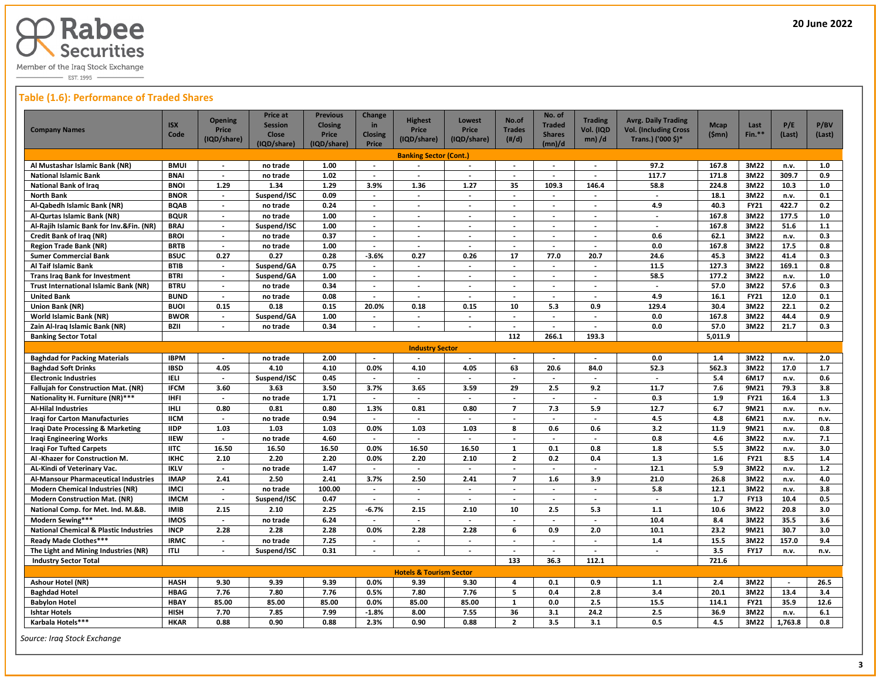

 $\overline{\phantom{0}}$  EST. 1995  $\overline{\phantom{0}}$ 

#### **Table (1.6): Performance of Traded Shares**

| <b>Company Names</b>                              | <b>ISX</b><br>Code | <b>Opening</b><br><b>Price</b><br>(IQD/share) | <b>Price at</b><br><b>Session</b><br><b>Close</b><br>(IQD/share) | <b>Previous</b><br><b>Closing</b><br>Price<br>(IQD/share) | <b>Change</b><br>in<br><b>Closing</b><br>Price | <b>Highest</b><br>Price<br>(IQD/share) | Lowest<br>Price<br>(IQD/share) | No.of<br><b>Trades</b><br>$(\#/d)$ | No. of<br><b>Traded</b><br><b>Shares</b><br>(mn)/d | <b>Trading</b><br>Vol. (IQD<br>$mn)$ /d | <b>Avrg. Daily Trading</b><br><b>Vol. (Including Cross</b><br>Trans.) ('000 \$)* | <b>Mcap</b><br>(Smn) | Last<br>Fin.** | P/E<br>(Last) | P/BV<br>(Last) |
|---------------------------------------------------|--------------------|-----------------------------------------------|------------------------------------------------------------------|-----------------------------------------------------------|------------------------------------------------|----------------------------------------|--------------------------------|------------------------------------|----------------------------------------------------|-----------------------------------------|----------------------------------------------------------------------------------|----------------------|----------------|---------------|----------------|
|                                                   |                    |                                               |                                                                  |                                                           |                                                | <b>Banking Sector (Cont.)</b>          |                                |                                    |                                                    |                                         |                                                                                  |                      |                |               |                |
| Al Mustashar Islamic Bank (NR)                    | <b>BMUI</b>        |                                               | no trade                                                         | 1.00                                                      | $\overline{\phantom{a}}$                       |                                        |                                |                                    |                                                    | $\overline{\phantom{a}}$                | 97.2                                                                             | 167.8                | 3M22           | n.v.          | 1.0            |
| <b>National Islamic Bank</b>                      | <b>BNAI</b>        | $\blacksquare$                                | no trade                                                         | 1.02                                                      | $\overline{\phantom{a}}$                       | $\blacksquare$                         | $\overline{\phantom{a}}$       | $\blacksquare$                     | $\blacksquare$                                     | $\overline{\phantom{a}}$                | 117.7                                                                            | 171.8                | 3M22           | 309.7         | 0.9            |
| <b>National Bank of Iraq</b>                      | <b>BNOI</b>        | 1.29                                          | 1.34                                                             | 1.29                                                      | 3.9%                                           | 1.36                                   | 1.27                           | 35                                 | 109.3                                              | 146.4                                   | 58.8                                                                             | 224.8                | 3M22           | 10.3          | $1.0$          |
| <b>North Bank</b>                                 | <b>BNOR</b>        | $\overline{\phantom{a}}$                      | Suspend/ISC                                                      | 0.09                                                      | $\sim$                                         | $\blacksquare$                         | $\overline{\phantom{a}}$       | $\sim$                             | $\blacksquare$                                     | $\overline{\phantom{a}}$                | $\overline{\phantom{a}}$                                                         | 18.1                 | 3M22           | n.v.          | 0.1            |
| Al-Qabedh Islamic Bank (NR)                       | <b>BQAB</b>        | $\sim$                                        | no trade                                                         | 0.24                                                      | $\sim$                                         | $\overline{\phantom{a}}$               | $\sim$                         | $\sim$                             | $\blacksquare$                                     | $\blacksquare$                          | 4.9                                                                              | 40.3                 | <b>FY21</b>    | 422.7         | 0.2            |
| Al-Qurtas Islamic Bank (NR)                       | <b>BQUR</b>        | $\overline{\phantom{a}}$                      | no trade                                                         | 1.00                                                      | $\overline{\phantom{a}}$                       | $\overline{a}$                         | $\overline{\phantom{a}}$       | $\overline{\phantom{a}}$           | $\overline{\phantom{a}}$                           | $\overline{\phantom{a}}$                | $\overline{\phantom{a}}$                                                         | 167.8                | 3M22           | 177.5         | 1.0            |
| Al-Rajih Islamic Bank for Inv.&Fin. (NR)          | <b>BRAJ</b>        | $\blacksquare$                                | Suspend/ISC                                                      | 1.00                                                      | $\sim$                                         | $\overline{\phantom{a}}$               | $\overline{\phantom{a}}$       | $\blacksquare$                     | $\overline{\phantom{a}}$                           | $\overline{\phantom{a}}$                | $\overline{\phantom{a}}$                                                         | 167.8                | 3M22           | 51.6          | 1.1            |
| <b>Credit Bank of Iraq (NR)</b>                   | <b>BROI</b>        | $\overline{\phantom{a}}$                      | no trade                                                         | 0.37                                                      | $\blacksquare$                                 | $\overline{\phantom{a}}$               | $\overline{\phantom{a}}$       | $\overline{\phantom{a}}$           | $\overline{\phantom{a}}$                           | $\overline{\phantom{a}}$                | 0.6                                                                              | 62.1                 | 3M22           | n.v.          | 0.3            |
| <b>Region Trade Bank (NR)</b>                     | <b>BRTB</b>        | $\overline{\phantom{a}}$                      | no trade                                                         | 1.00                                                      | $\overline{\phantom{a}}$                       |                                        |                                |                                    |                                                    | $\overline{\phantom{a}}$                | 0.0                                                                              | 167.8                | 3M22           | 17.5          | 0.8            |
| <b>Sumer Commercial Bank</b>                      | <b>BSUC</b>        | 0.27                                          | 0.27                                                             | 0.28                                                      | $-3.6%$                                        | 0.27                                   | 0.26                           | 17                                 | 77.0                                               | 20.7                                    | 24.6                                                                             | 45.3                 | 3M22           | 41.4          | 0.3            |
| Al Taif Islamic Bank                              | <b>BTIB</b>        | $\overline{a}$                                | Suspend/GA                                                       | 0.75                                                      |                                                | $\overline{a}$                         | $\overline{a}$                 | $\overline{\phantom{a}}$           | $\overline{\phantom{a}}$                           | $\overline{\phantom{a}}$                | 11.5                                                                             | 127.3                | 3M22           | 169.1         | 0.8            |
| <b>Trans Irag Bank for Investment</b>             | <b>BTRI</b>        | $\overline{\phantom{a}}$                      | Suspend/GA                                                       | 1.00                                                      | $\sim$                                         | $\sim$                                 | $\overline{\phantom{a}}$       | $\sim$                             | $\overline{\phantom{a}}$                           | $\overline{\phantom{a}}$                | 58.5                                                                             | 177.2                | 3M22           | n.v.          | 1.0            |
| <b>Trust International Islamic Bank (NR)</b>      | <b>BTRU</b>        | $\blacksquare$                                | no trade                                                         | 0.34                                                      | $\overline{\phantom{a}}$                       | $\overline{\phantom{a}}$               | $\overline{\phantom{a}}$       | $\blacksquare$                     | $\blacksquare$                                     | $\overline{\phantom{a}}$                | $\overline{\phantom{a}}$                                                         | 57.0                 | 3M22           | 57.6          | 0.3            |
| <b>United Bank</b>                                | <b>BUND</b>        | $\blacksquare$                                | no trade                                                         | 0.08                                                      | $\overline{\phantom{a}}$                       | $\overline{\phantom{a}}$               | $\overline{\phantom{a}}$       | $\overline{\phantom{a}}$           | $\blacksquare$                                     | $\overline{\phantom{a}}$                | 4.9                                                                              | 16.1                 | <b>FY21</b>    | 12.0          | 0.1            |
| Union Bank (NR)                                   | <b>BUOI</b>        | 0.15                                          | 0.18                                                             | 0.15                                                      | 20.0%                                          | 0.18                                   | 0.15                           | 10                                 | 5.3                                                | 0.9                                     | 129.4                                                                            | 30.4                 | 3M22           | 22.1          | 0.2            |
| <b>World Islamic Bank (NR)</b>                    | <b>BWOR</b>        | $\overline{\phantom{a}}$                      | Suspend/GA                                                       | 1.00                                                      | $\sim$                                         | $\sim$                                 | $\sim$                         | $\sim$                             | $\overline{\phantom{a}}$                           | $\overline{a}$                          | 0.0                                                                              | 167.8                | 3M22           | 44.4          | 0.9            |
| Zain Al-Iraq Islamic Bank (NR)                    | <b>BZII</b>        | $\overline{a}$                                | no trade                                                         | 0.34                                                      | $\sim$                                         |                                        | $\overline{\phantom{a}}$       |                                    |                                                    |                                         | 0.0                                                                              | 57.0                 | 3M22           | 21.7          | 0.3            |
| <b>Banking Sector Total</b>                       |                    |                                               |                                                                  |                                                           |                                                |                                        |                                | 112                                | 266.1                                              | 193.3                                   |                                                                                  | 5,011.9              |                |               |                |
|                                                   |                    |                                               |                                                                  |                                                           |                                                | <b>Industry Sector</b>                 |                                |                                    |                                                    |                                         |                                                                                  |                      |                |               |                |
| <b>Baghdad for Packing Materials</b>              | <b>IBPM</b>        | $\blacksquare$                                | no trade                                                         | 2.00                                                      | $\overline{\phantom{a}}$                       | $\overline{\phantom{a}}$               | $\overline{\phantom{a}}$       | $\sim$                             | $\blacksquare$                                     | $\overline{\phantom{a}}$                | 0.0                                                                              | 1.4                  | 3M22           | n.v.          | 2.0            |
| <b>Baghdad Soft Drinks</b>                        | <b>IBSD</b>        | 4.05                                          | 4.10                                                             | 4.10                                                      | 0.0%                                           | 4.10                                   | 4.05                           | 63                                 | 20.6                                               | 84.0                                    | 52.3                                                                             | 562.3                | 3M22           | 17.0          | 1.7            |
| <b>Electronic Industries</b>                      | <b>IELI</b>        | $\blacksquare$                                | Suspend/ISC                                                      | 0.45                                                      |                                                | $\overline{\phantom{a}}$               |                                |                                    |                                                    |                                         | $\blacksquare$                                                                   | 5.4                  | 6M17           | n.v.          | 0.6            |
| <b>Fallujah for Construction Mat. (NR)</b>        | <b>IFCM</b>        | 3.60                                          | 3.63                                                             | 3.50                                                      | 3.7%                                           | 3.65                                   | 3.59                           | 29                                 | 2.5                                                | 9.2                                     | 11.7                                                                             | 7.6                  | 9M21           | 79.3          | 3.8            |
| Nationality H. Furniture (NR)***                  | <b>IHFI</b>        | $\sim$                                        | no trade                                                         | 1.71                                                      | $\sim$                                         | $\overline{\phantom{a}}$               | $\overline{a}$                 | $\sim$                             | $\sim$                                             | $\overline{a}$                          | 0.3                                                                              | 1.9                  | <b>FY21</b>    | 16.4          | 1.3            |
| <b>Al-Hilal Industries</b>                        | IHLI               | 0.80                                          | 0.81                                                             | 0.80                                                      | 1.3%                                           | 0.81                                   | 0.80                           | $\overline{7}$                     | 7.3                                                | 5.9                                     | 12.7                                                                             | 6.7                  | 9M21           | n.v.          | n.v.           |
| <b>Iragi for Carton Manufacturies</b>             | <b>IICM</b>        | $\overline{\phantom{a}}$                      | no trade                                                         | 0.94                                                      | $\overline{\phantom{a}}$                       | $\overline{\phantom{a}}$               | $\overline{\phantom{a}}$       | $\overline{\phantom{a}}$           | $\blacksquare$                                     | $\overline{\phantom{a}}$                | 4.5                                                                              | 4.8                  | 6M21           | n.v.          | n.v.           |
| Iraqi Date Processing & Marketing                 | <b>IIDP</b>        | 1.03                                          | 1.03                                                             | 1.03                                                      | 0.0%                                           | 1.03                                   | 1.03                           | 8                                  | 0.6                                                | 0.6                                     | 3.2                                                                              | 11.9                 | 9M21           | n.v.          | 0.8            |
| <b>Iraqi Engineering Works</b>                    | <b>IIEW</b>        | $\overline{\phantom{a}}$                      | no trade                                                         | 4.60                                                      | $\overline{\phantom{a}}$                       | $\overline{\phantom{a}}$               | $\overline{\phantom{a}}$       | $\overline{\phantom{a}}$           | $\overline{a}$                                     | $\overline{\phantom{a}}$                | 0.8                                                                              | 4.6                  | 3M22           | n.v.          | 7.1            |
| <b>Iragi For Tufted Carpets</b>                   | <b>IITC</b>        | 16.50                                         | 16.50                                                            | 16.50                                                     | 0.0%                                           | 16.50                                  | 16.50                          | $\mathbf{1}$                       | 0.1                                                | 0.8                                     | 1.8                                                                              | 5.5                  | 3M22           | n.v.          | 3.0            |
| Al -Khazer for Construction M.                    | <b>IKHC</b>        | 2.10                                          | 2.20                                                             | 2.20                                                      | 0.0%                                           | 2.20                                   | 2.10                           | $\overline{2}$                     | 0.2                                                | 0.4                                     | 1.3                                                                              | 1.6                  | <b>FY21</b>    | 8.5           | 1.4            |
| AL-Kindi of Veterinary Vac.                       | <b>IKLV</b>        |                                               | no trade                                                         | 1.47                                                      |                                                |                                        |                                |                                    |                                                    |                                         | 12.1                                                                             | 5.9                  | 3M22           | n.v.          | $1.2$          |
| Al-Mansour Pharmaceutical Industries              | <b>IMAP</b>        | 2.41                                          | 2.50                                                             | 2.41                                                      | 3.7%                                           | 2.50                                   | 2.41                           | $\overline{7}$                     | 1.6                                                | 3.9                                     | 21.0                                                                             | 26.8                 | 3M22           | n.v.          | 4.0            |
| Modern Chemical Industries (NR)                   | <b>IMCI</b>        | $\blacksquare$                                | no trade                                                         | 100.00                                                    |                                                | $\blacksquare$                         | $\overline{\phantom{a}}$       | $\blacksquare$                     | $\blacksquare$                                     | $\overline{\phantom{a}}$                | 5.8                                                                              | 12.1                 | 3M22           | n.v.          | 3.8            |
| <b>Modern Construction Mat. (NR)</b>              | <b>IMCM</b>        | $\sim$                                        | Suspend/ISC                                                      | 0.47                                                      | $\sim$                                         | $\overline{\phantom{a}}$               | $\sim$                         | $\sim$                             | $\overline{\phantom{a}}$                           | $\overline{\phantom{a}}$                | $\sim$                                                                           | 1.7                  | <b>FY13</b>    | 10.4          | 0.5            |
| National Comp. for Met. Ind. M.&B.                | <b>IMIB</b>        | 2.15                                          | 2.10                                                             | 2.25                                                      | $-6.7%$                                        | 2.15                                   | 2.10                           | 10                                 | 2.5                                                | 5.3                                     | 1.1                                                                              | 10.6                 | 3M22           | 20.8          | 3.0            |
| Modern Sewing***                                  | <b>IMOS</b>        | $\sim$                                        | no trade                                                         | 6.24                                                      | $\sim$                                         | $\overline{\phantom{a}}$               | $\sim$                         | $\sim$                             | $\blacksquare$                                     | $\blacksquare$                          | 10.4                                                                             | 8.4                  | 3M22           | 35.5          | 3.6            |
| <b>National Chemical &amp; Plastic Industries</b> | <b>INCP</b>        | 2.28                                          | 2.28                                                             | 2.28                                                      | 0.0%                                           | 2.28                                   | 2.28                           | 6                                  | 0.9                                                | 2.0                                     | 10.1                                                                             | 23.2                 | 9M21           | 30.7          | 3.0            |
| Ready Made Clothes***                             | <b>IRMC</b>        | $\blacksquare$                                | no trade                                                         | 7.25                                                      | $\overline{\phantom{a}}$                       | $\blacksquare$                         | $\overline{\phantom{a}}$       | $\overline{\phantom{a}}$           | $\overline{\phantom{a}}$                           | $\overline{\phantom{a}}$                | 1.4                                                                              | 15.5                 | 3M22           | 157.0         | 9.4            |
| The Light and Mining Industries (NR)              | <b>ITLI</b>        | $\blacksquare$                                | Suspend/ISC                                                      | 0.31                                                      | $\overline{\phantom{a}}$                       | $\overline{\phantom{a}}$               | $\blacksquare$                 | $\overline{\phantom{a}}$           | $\blacksquare$                                     | $\overline{\phantom{a}}$                | $\overline{\phantom{a}}$                                                         | 3.5                  | <b>FY17</b>    | n.v.          | n.v.           |
| <b>Industry Sector Total</b>                      |                    |                                               |                                                                  |                                                           |                                                |                                        |                                | 133                                | 36.3                                               | 112.1                                   |                                                                                  | 721.6                |                |               |                |
|                                                   |                    |                                               |                                                                  |                                                           |                                                | <b>Hotels &amp; Tourism Sector</b>     |                                |                                    |                                                    |                                         |                                                                                  |                      |                |               |                |
| <b>Ashour Hotel (NR)</b>                          | <b>HASH</b>        | 9.30                                          | 9.39                                                             | 9.39                                                      | 0.0%                                           | 9.39                                   | 9.30                           | 4                                  | 0.1                                                | 0.9                                     | 1.1                                                                              | 2.4                  | 3M22           | $\sim$        | 26.5           |
| <b>Baghdad Hotel</b>                              | <b>HBAG</b>        | 7.76                                          | 7.80                                                             | 7.76                                                      | 0.5%                                           | 7.80                                   | 7.76                           | 5                                  | 0.4                                                | 2.8                                     | 3.4                                                                              | 20.1                 | 3M22           | 13.4          | 3.4            |
| <b>Babylon Hotel</b>                              | <b>HBAY</b>        | 85.00                                         | 85.00                                                            | 85.00                                                     | 0.0%                                           | 85.00                                  | 85.00                          | $\mathbf{1}$                       | 0.0                                                | 2.5                                     | 15.5                                                                             | 114.1                | FY21           | 35.9          | 12.6           |
| <b>Ishtar Hotels</b>                              | <b>HISH</b>        | 7.70                                          | 7.85                                                             | 7.99                                                      | $-1.8%$                                        | 8.00                                   | 7.55                           | 36                                 | 3.1                                                | 24.2                                    | 2.5                                                                              | 36.9                 | 3M22           | n.v.          | 6.1            |
| Karbala Hotels***                                 | <b>HKAR</b>        | 0.88                                          | 0.90                                                             | 0.88                                                      | 2.3%                                           | 0.90                                   | 0.88                           | $\overline{2}$                     | 3.5                                                | 3.1                                     | 0.5                                                                              | 4.5                  | 3M22           | 1,763.8       | 0.8            |

 *Source: Iraq Stock Exchange*

 $\overline{a}$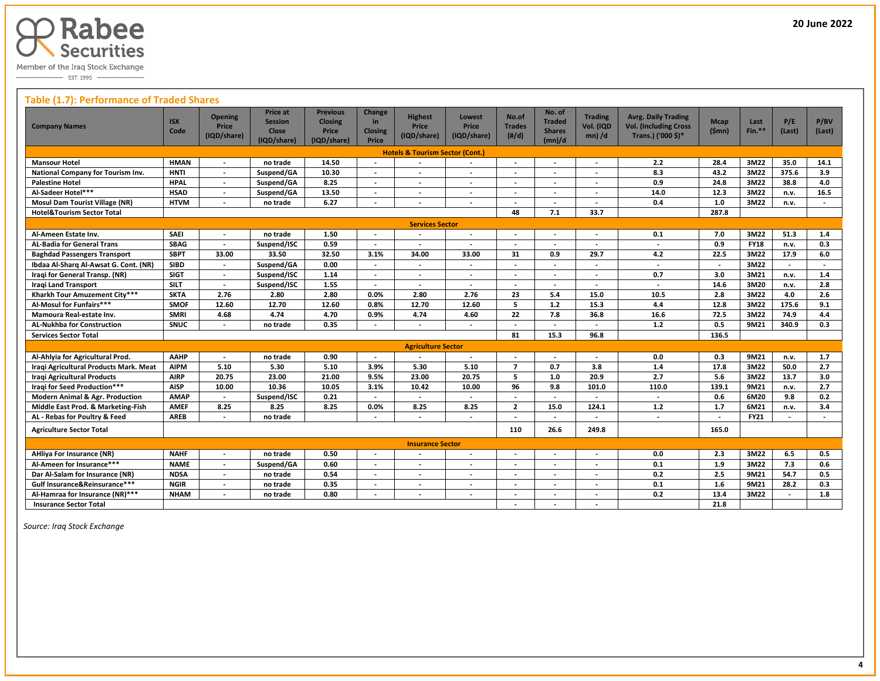

#### **Table (1.7): Performance of Traded Shares**

| <b>Company Names</b>                       | <b>ISX</b><br>Code | <b>Opening</b><br><b>Price</b><br>(IQD/share) | Price at<br><b>Session</b><br><b>Close</b><br>(IQD/share) | <b>Previous</b><br><b>Closing</b><br>Price<br>(IQD/share) | Change<br>in<br><b>Closing</b><br>Price | <b>Highest</b><br>Price<br>(IQD/share)     | Lowest<br><b>Price</b><br>(IQD/share) | No.of<br><b>Trades</b><br>(H/d) | No. of<br><b>Traded</b><br><b>Shares</b><br>(mn)/d | <b>Trading</b><br>Vol. (IQD<br>$mn$ ) /d | <b>Avrg. Daily Trading</b><br><b>Vol. (Including Cross</b><br>Trans.) ('000 \$)* | <b>Mcap</b><br>(Smn)     | Last<br>$Fin.**$ | P/E<br>(Last)            | P/BV<br>(Last)           |
|--------------------------------------------|--------------------|-----------------------------------------------|-----------------------------------------------------------|-----------------------------------------------------------|-----------------------------------------|--------------------------------------------|---------------------------------------|---------------------------------|----------------------------------------------------|------------------------------------------|----------------------------------------------------------------------------------|--------------------------|------------------|--------------------------|--------------------------|
|                                            |                    |                                               |                                                           |                                                           |                                         | <b>Hotels &amp; Tourism Sector (Cont.)</b> |                                       |                                 |                                                    |                                          |                                                                                  |                          |                  |                          |                          |
| <b>Mansour Hotel</b>                       | <b>HMAN</b>        | $\overline{\phantom{a}}$                      | no trade                                                  | 14.50                                                     |                                         |                                            |                                       |                                 | $\overline{\phantom{a}}$                           |                                          | 2.2                                                                              | 28.4                     | 3M22             | 35.0                     | 14.1                     |
| National Company for Tourism Inv.          | <b>HNTI</b>        | $\overline{\phantom{a}}$                      | Suspend/GA                                                | 10.30                                                     |                                         |                                            | $\blacksquare$                        |                                 | $\blacksquare$                                     | $\overline{\phantom{a}}$                 | 8.3                                                                              | 43.2                     | 3M22             | 375.6                    | 3.9                      |
| <b>Palestine Hotel</b>                     | <b>HPAL</b>        | $\overline{\phantom{a}}$                      | Suspend/GA                                                | 8.25                                                      | $\overline{\phantom{a}}$                |                                            | $\overline{\phantom{a}}$              | $\overline{\phantom{a}}$        | $\overline{\phantom{a}}$                           | $\overline{\phantom{a}}$                 | 0.9                                                                              | 24.8                     | 3M22             | 38.8                     | 4.0                      |
| Al-Sadeer Hotel***                         | <b>HSAD</b>        |                                               | Suspend/GA                                                | 13.50                                                     |                                         |                                            | $\blacksquare$                        |                                 | $\overline{\phantom{a}}$                           |                                          | 14.0                                                                             | 12.3                     | 3M22             | n.v.                     | 16.5                     |
| <b>Mosul Dam Tourist Village (NR)</b>      | <b>HTVM</b>        | $\overline{a}$                                | no trade                                                  | 6.27                                                      | $\overline{\phantom{a}}$                |                                            | $\overline{\phantom{a}}$              | $\overline{\phantom{a}}$        | $\overline{\phantom{a}}$                           | $\overline{\phantom{a}}$                 | 0.4                                                                              | $1.0$                    | 3M22             | n.v.                     | $\overline{\phantom{a}}$ |
| <b>Hotel&amp;Tourism Sector Total</b>      |                    |                                               |                                                           |                                                           |                                         |                                            |                                       | 48                              | 7.1                                                | 33.7                                     |                                                                                  | 287.8                    |                  |                          |                          |
|                                            |                    |                                               |                                                           |                                                           |                                         | <b>Services Sector</b>                     |                                       |                                 |                                                    |                                          |                                                                                  |                          |                  |                          |                          |
| Al-Ameen Estate Inv.                       | <b>SAEI</b>        | $\overline{\phantom{a}}$                      | no trade                                                  | 1.50                                                      | $\overline{\phantom{a}}$                |                                            | $\blacksquare$                        | $\overline{\phantom{a}}$        | $\overline{\phantom{a}}$                           | $\overline{\phantom{a}}$                 | 0.1                                                                              | 7.0                      | 3M22             | 51.3                     | 1.4                      |
| <b>AL-Badia for General Trans</b>          | <b>SBAG</b>        |                                               | Suspend/ISC                                               | 0.59                                                      |                                         |                                            |                                       |                                 |                                                    |                                          |                                                                                  | 0.9                      | <b>FY18</b>      | n.v.                     | 0.3                      |
| <b>Baghdad Passengers Transport</b>        | <b>SBPT</b>        | 33.00                                         | 33.50                                                     | 32.50                                                     | 3.1%                                    | 34.00                                      | 33.00                                 | 31                              | 0.9                                                | 29.7                                     | 4.2                                                                              | 22.5                     | 3M22             | 17.9                     | 6.0                      |
| Ibdaa Al-Sharq Al-Awsat G. Cont. (NR)      | <b>SIBD</b>        | $\overline{\phantom{a}}$                      | Suspend/GA                                                | 0.00                                                      |                                         |                                            | $\overline{\phantom{a}}$              |                                 | $\overline{\phantom{a}}$                           | $\blacksquare$                           | $\sim$                                                                           | $\overline{\phantom{a}}$ | 3M22             | $\overline{\phantom{a}}$ | $\overline{\phantom{a}}$ |
| Iraqi for General Transp. (NR)             | <b>SIGT</b>        |                                               | Suspend/ISC                                               | 1.14                                                      |                                         |                                            | $\overline{\phantom{a}}$              |                                 | $\overline{\phantom{a}}$                           | $\overline{\phantom{a}}$                 | 0.7                                                                              | 3.0                      | 3M21             | n.v.                     | 1.4                      |
| <b>Iraqi Land Transport</b>                | <b>SILT</b>        | $\overline{\phantom{a}}$                      | Suspend/ISC                                               | 1.55                                                      | $\overline{\phantom{a}}$                | $\overline{\phantom{a}}$                   | $\blacksquare$                        | $\blacksquare$                  | $\overline{\phantom{a}}$                           | $\overline{\phantom{a}}$                 | $\blacksquare$                                                                   | 14.6                     | 3M20             | n.v.                     | 2.8                      |
| Kharkh Tour Amuzement City***              | <b>SKTA</b>        | 2.76                                          | 2.80                                                      | 2.80                                                      | 0.0%                                    | 2.80                                       | 2.76                                  | 23                              | 5.4                                                | 15.0                                     | 10.5                                                                             | 2.8                      | 3M22             | 4.0                      | 2.6                      |
| Al-Mosul for Funfairs***                   | <b>SMOF</b>        | 12.60                                         | 12.70                                                     | 12.60                                                     | 0.8%                                    | 12.70                                      | 12.60                                 | 5                               | $1.2$                                              | 15.3                                     | 4.4                                                                              | 12.8                     | 3M22             | 175.6                    | 9.1                      |
| Mamoura Real-estate Inv.                   | <b>SMRI</b>        | 4.68                                          | 4.74                                                      | 4.70                                                      | 0.9%                                    | 4.74                                       | 4.60                                  | 22                              | 7.8                                                | 36.8                                     | 16.6                                                                             | 72.5                     | 3M22             | 74.9                     | 4.4                      |
| <b>AL-Nukhba for Construction</b>          | SNUC               | $\overline{\phantom{a}}$                      | no trade                                                  | 0.35                                                      |                                         |                                            | $\blacksquare$                        |                                 | $\overline{\phantom{a}}$                           | $\overline{\phantom{a}}$                 | $1.2$                                                                            | 0.5                      | 9M21             | 340.9                    | 0.3                      |
| <b>Services Sector Total</b>               |                    |                                               |                                                           |                                                           |                                         |                                            |                                       | 81                              | 15.3                                               | 96.8                                     |                                                                                  | 136.5                    |                  |                          |                          |
|                                            |                    |                                               |                                                           |                                                           |                                         | <b>Agriculture Sector</b>                  |                                       |                                 |                                                    |                                          |                                                                                  |                          |                  |                          |                          |
| Al-Ahlyia for Agricultural Prod.           | AAHP               | $\overline{\phantom{a}}$                      | no trade                                                  | 0.90                                                      | $\overline{\phantom{a}}$                |                                            | $\overline{\phantom{a}}$              | $\overline{\phantom{a}}$        | $\overline{\phantom{a}}$                           | $\overline{a}$                           | 0.0                                                                              | 0.3                      | 9M21             | n.v.                     | 1.7                      |
| Iragi Agricultural Products Mark, Meat     | <b>AIPM</b>        | 5.10                                          | 5.30                                                      | 5.10                                                      | 3.9%                                    | 5.30                                       | 5.10                                  | $\overline{7}$                  | 0.7                                                | 3.8                                      | 1.4                                                                              | 17.8                     | 3M22             | 50.0                     | 2.7                      |
| Iraqi Agricultural Products                | <b>AIRP</b>        | 20.75                                         | 23.00                                                     | 21.00                                                     | 9.5%                                    | 23.00                                      | 20.75                                 | 5                               | 1.0                                                | 20.9                                     | 2.7                                                                              | 5.6                      | 3M22             | 13.7                     | 3.0                      |
| <b>Iraqi for Seed Production***</b>        | <b>AISP</b>        | 10.00                                         | 10.36                                                     | 10.05                                                     | 3.1%                                    | 10.42                                      | 10.00                                 | 96                              | 9.8                                                | 101.0                                    | 110.0                                                                            | 139.1                    | 9M21             | n.v.                     | 2.7                      |
| <b>Modern Animal &amp; Agr. Production</b> | <b>AMAP</b>        | $\overline{\phantom{a}}$                      | Suspend/ISC                                               | 0.21                                                      |                                         |                                            |                                       |                                 | $\blacksquare$                                     |                                          | $\overline{\phantom{a}}$                                                         | 0.6                      | 6M20             | 9.8                      | 0.2                      |
| Middle East Prod. & Marketing-Fish         | <b>AMEF</b>        | 8.25                                          | 8.25                                                      | 8.25                                                      | 0.0%                                    | 8.25                                       | 8.25                                  | $\mathbf{2}$                    | 15.0                                               | 124.1                                    | $1.2$                                                                            | $1.7$                    | 6M21             | n.v.                     | 3.4                      |
| AL - Rebas for Poultry & Feed              | <b>AREB</b>        | $\overline{a}$                                | no trade                                                  |                                                           | $\overline{\phantom{a}}$                | $\overline{\phantom{a}}$                   | $\blacksquare$                        |                                 | $\overline{\phantom{a}}$                           | $\overline{\phantom{a}}$                 | $\overline{\phantom{a}}$                                                         | $\overline{\phantom{a}}$ | <b>FY21</b>      | $\overline{a}$           | $\overline{\phantom{a}}$ |
| <b>Agriculture Sector Total</b>            |                    |                                               |                                                           |                                                           |                                         |                                            |                                       | 110                             | 26.6                                               | 249.8                                    |                                                                                  | 165.0                    |                  |                          |                          |
|                                            |                    |                                               |                                                           |                                                           |                                         | <b>Insurance Sector</b>                    |                                       |                                 |                                                    |                                          |                                                                                  |                          |                  |                          |                          |
| <b>AHliya For Insurance (NR)</b>           | <b>NAHF</b>        |                                               | no trade                                                  | 0.50                                                      |                                         |                                            | $\overline{\phantom{a}}$              |                                 |                                                    |                                          | 0.0                                                                              | 2.3                      | 3M22             | 6.5                      | 0.5                      |
| Al-Ameen for Insurance***                  | <b>NAME</b>        |                                               | Suspend/GA                                                | 0.60                                                      |                                         |                                            | $\overline{\phantom{a}}$              |                                 | $\overline{a}$                                     | $\overline{\phantom{a}}$                 | 0.1                                                                              | 1.9                      | 3M22             | 7.3                      | 0.6                      |
| Dar Al-Salam for Insurance (NR)            | <b>NDSA</b>        | $\overline{a}$                                | no trade                                                  | 0.54                                                      | $\overline{\phantom{a}}$                |                                            | $\blacksquare$                        |                                 | $\overline{\phantom{a}}$                           | $\overline{\phantom{a}}$                 | 0.2                                                                              | 2.5                      | 9M21             | 54.7                     | 0.5                      |
| Gulf Insurance&Reinsurance***              | <b>NGIR</b>        |                                               | no trade                                                  | 0.35                                                      | $\overline{\phantom{a}}$                |                                            | $\overline{\phantom{a}}$              |                                 | $\overline{\phantom{a}}$                           |                                          | 0.1                                                                              | 1.6                      | 9M21             | 28.2                     | 0.3                      |
| Al-Hamraa for Insurance (NR)***            | <b>NHAM</b>        |                                               | no trade                                                  | 0.80                                                      | $\overline{a}$                          | $\overline{\phantom{a}}$                   | $\overline{a}$                        |                                 | $\overline{\phantom{a}}$                           | $\overline{\phantom{a}}$                 | 0.2                                                                              | 13.4                     | 3M22             |                          | 1.8                      |
| <b>Insurance Sector Total</b>              |                    |                                               |                                                           |                                                           |                                         |                                            |                                       |                                 | $\overline{\phantom{a}}$                           | $\overline{\phantom{a}}$                 |                                                                                  | 21.8                     |                  |                          |                          |

 *Source: Iraq Stock Exchange*

L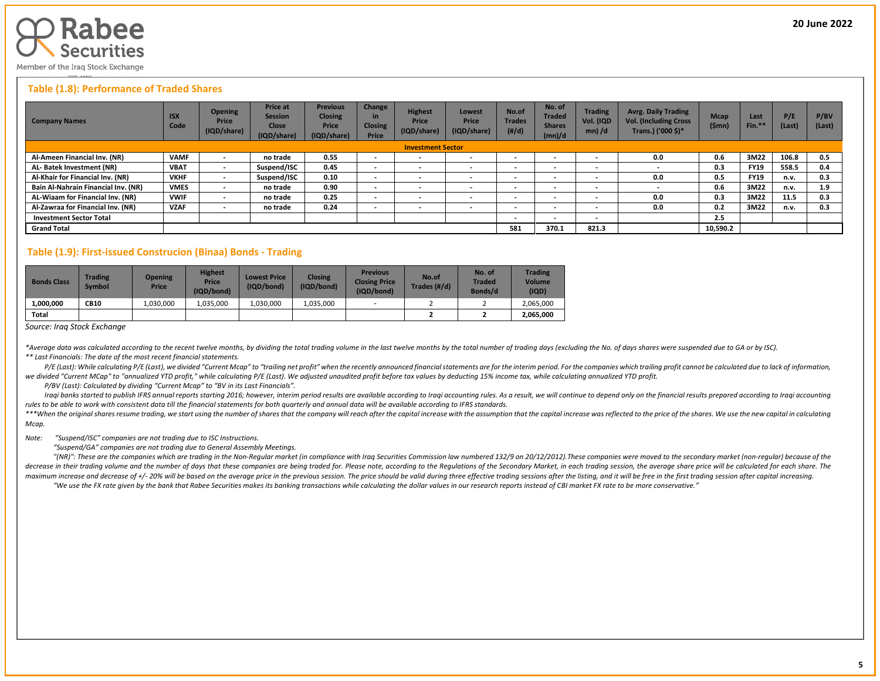

#### **Table (1.8): Performance of Traded Shares**

| <b>Company Names</b>                | <b>ISX</b><br>Code | <b>Opening</b><br>Price<br>(IQD/share) | <b>Price at</b><br><b>Session</b><br><b>Close</b><br>(IQD/share) | <b>Previous</b><br><b>Closing</b><br><b>Price</b><br>(IQD/share) | Change<br><b>Closing</b><br>Price | <b>Highest</b><br>Price<br>(IQD/share) | Lowest<br>Price<br>(IQD/share) | No.of<br><b>Trades</b><br>(H/d) | No. of<br><b>Traded</b><br><b>Shares</b><br>(mn)/d | <b>Trading</b><br>Vol. (IQD<br>$mn)$ /d | <b>Avrg. Daily Trading</b><br><b>Vol. (Including Cross</b><br>Trans.) ('000 \$)* | <b>Mcap</b><br>(\$mn) | Last<br>Fin.* | P/E<br>(Last) | P/BV<br>(Last) |
|-------------------------------------|--------------------|----------------------------------------|------------------------------------------------------------------|------------------------------------------------------------------|-----------------------------------|----------------------------------------|--------------------------------|---------------------------------|----------------------------------------------------|-----------------------------------------|----------------------------------------------------------------------------------|-----------------------|---------------|---------------|----------------|
|                                     |                    |                                        |                                                                  |                                                                  |                                   | <b>Investment Sector</b>               |                                |                                 |                                                    |                                         |                                                                                  |                       |               |               |                |
| Al-Ameen Financial Inv. (NR)        | <b>VAMF</b>        |                                        | no trade                                                         | 0.55                                                             | $\sim$                            | $\overline{\phantom{a}}$               | $\overline{\phantom{0}}$       | $\overline{\phantom{0}}$        | $\sim$                                             | $\overline{\phantom{0}}$                | 0.0                                                                              | 0.6                   | 3M22          | 106.8         | 0.5            |
| AL-Batek Investment (NR)            | <b>VBAT</b>        | $\,$                                   | Suspend/ISC                                                      | 0.45                                                             | $\overline{\phantom{a}}$          | $\overline{\phantom{a}}$               | $\overline{\phantom{a}}$       | $\overline{\phantom{0}}$        | $\overline{\phantom{a}}$                           | $\overline{\phantom{0}}$                |                                                                                  | 0.3                   | <b>FY19</b>   | 558.5         | 0.4            |
| Al-Khair for Financial Inv. (NR)    | <b>VKHF</b>        | $\,$                                   | Suspend/ISC                                                      | 0.10                                                             | $\sim$                            | $\overline{\phantom{a}}$               |                                | $\,$ $\,$                       | $\overline{\phantom{a}}$                           | $\overline{\phantom{0}}$                | 0.0                                                                              | 0.5                   | <b>FY19</b>   | n.v.          | 0.3            |
| Bain Al-Nahrain Financial Inv. (NR) | <b>VMES</b>        | $\,$                                   | no trade                                                         | 0.90                                                             | $\overline{\phantom{0}}$          | $\overline{\phantom{a}}$               | $\overline{\phantom{a}}$       | $\overline{\phantom{0}}$        | $\overline{\phantom{a}}$                           | $\overline{\phantom{a}}$                |                                                                                  | 0.6                   | 3M22          | n.v.          | 1.9            |
| AL-Wiaam for Financial Inv. (NR)    | <b>VWIF</b>        | $\,$                                   | no trade                                                         | 0.25                                                             | $\overline{\phantom{0}}$          | $\overline{\phantom{a}}$               | $\overline{\phantom{a}}$       | $\,$ $\,$                       | $\overline{\phantom{a}}$                           | $\overline{\phantom{0}}$                | 0.0                                                                              | 0.3                   | 3M22          | 11.5          | 0.3            |
| Al-Zawraa for Financial Inv. (NR)   | <b>VZAF</b>        | $\,$                                   | no trade                                                         | 0.24                                                             | $\overline{\phantom{0}}$          | $\overline{\phantom{a}}$               |                                | $\overline{\phantom{0}}$        | $\overline{\phantom{a}}$                           | $\overline{\phantom{a}}$                | 0.0                                                                              | 0.2                   | 3M22          | n.v.          | 0.3            |
| <b>Investment Sector Total</b>      |                    |                                        |                                                                  |                                                                  |                                   |                                        |                                | $\,$ $\,$                       | $\overline{\phantom{a}}$                           | $\overline{\phantom{a}}$                |                                                                                  | 2.5                   |               |               |                |
| <b>Grand Total</b>                  |                    |                                        |                                                                  |                                                                  |                                   |                                        |                                | 581                             | 370.1                                              | 821.3                                   |                                                                                  | 10,590.2              |               |               |                |

#### **Table (1.9): First-issued Construcion (Binaa) Bonds - Trading**

| <b>Bonds Class</b> | <b>Trading</b><br><b>Symbol</b> | <b>Opening</b><br><b>Price</b> | <b>Highest</b><br>Price<br>(IQD/bond) | <b>Lowest Price</b><br>(IQD/bond) | <b>Closing</b><br>(IQD/bond) | <b>Previous</b><br><b>Closing Price</b><br>(IQD/bond) | No.of<br>Trades (#/d) | No. of<br><b>Traded</b><br>Bonds/d | <b>Trading</b><br><b>Volume</b><br>(IQD) |
|--------------------|---------------------------------|--------------------------------|---------------------------------------|-----------------------------------|------------------------------|-------------------------------------------------------|-----------------------|------------------------------------|------------------------------------------|
| 1.000.000          | <b>CB10</b>                     | 1.030.000                      | 1.035.000                             | L.030.000                         | 1.035.000                    |                                                       |                       |                                    | 2.065.000                                |
| Total              |                                 |                                |                                       |                                   |                              |                                                       |                       |                                    | 2,065,000                                |

*Source: Iraq Stock Exchange*

\*Average data was calculated according to the recent twelve months, by dividing the total trading volume in the last twelve months by the total number of trading days (excluding the No. of days shares were suspended due to *\*\* Last Financials: The date of the most recent financial statements.* 

P/E (Last): While calculating P/E (Last), we divided "Current Mcap" to "trailing net profit" when the recently announced financial statements are for the interim period. For the companies which trailing profit cannot be ca we divided "Current MCap" to "annualized YTD profit," while calculating P/E (Last). We adjusted unaudited profit before tax values by deducting 15% income tax, while calculating annualized YTD profit.

 *P/BV (Last): Calculated by dividing "Current Mcap" to "BV in its Last Financials".*

Iraqi banks started to publish IFRS annual reports starting 2016; however, interim period results are available according to Iraqi accounting rules. As a result, we will continue to depend only on the financial results pre *rules to be able to work with consistent data till the financial statements for both quarterly and annual data will be available according to IFRS standards.* 

\*\*\*When the original shares resume trading, we start using the number of shares that the company will reach after the capital increase with the assumption that the capital increase was reflected to the price of the shares. *Mcap.*

#### *Note: "Suspend/ISC" companies are not trading due to ISC Instructions.*

 *"Suspend/GA" companies are not trading due to General Assembly Meetings.*

"(NR)": These are the companies which are trading in the Non-Regular market (in compliance with Iraq Securities Commission law numbered 132/9 on 20/12/2012). These companies were moved to the secondary market (non-regular) decrease in their trading volume and the number of days that these companies are being traded for. Please note, according to the Regulations of the Secondary Market, in each trading session, the average share price will be maximum increase and decrease of +/- 20% will be based on the average price in the previous session. The price should be valid during three effective trading sessions after the listing, and it will be free in the first tra

"We use the FX rate given by the bank that Rabee Securities makes its banking transactions while calculating the dollar values in our research reports instead of CBI market FX rate to be more conservative."